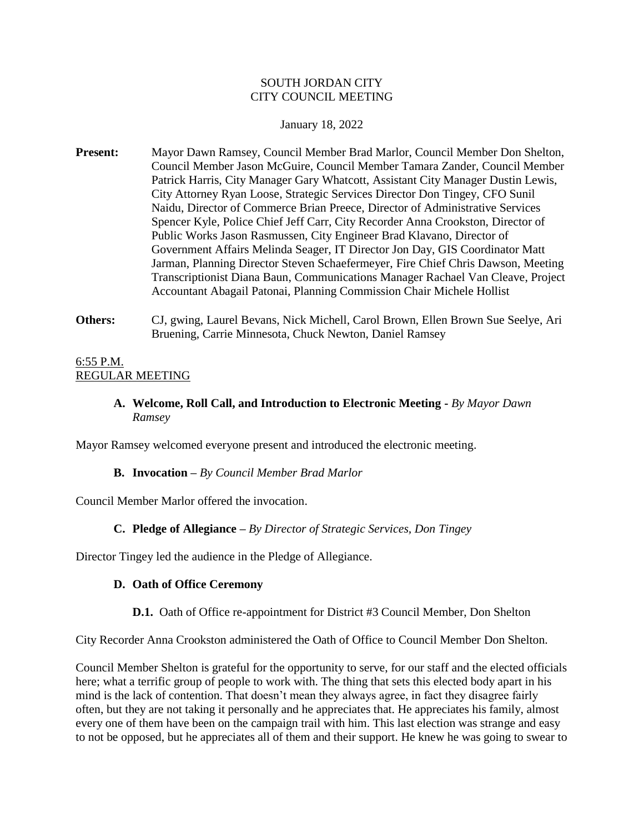### SOUTH JORDAN CITY CITY COUNCIL MEETING

### January 18, 2022

- **Present:** Mayor Dawn Ramsey, Council Member Brad Marlor, Council Member Don Shelton, Council Member Jason McGuire, Council Member Tamara Zander, Council Member Patrick Harris, City Manager Gary Whatcott, Assistant City Manager Dustin Lewis, City Attorney Ryan Loose, Strategic Services Director Don Tingey, CFO Sunil Naidu, Director of Commerce Brian Preece, Director of Administrative Services Spencer Kyle, Police Chief Jeff Carr, City Recorder Anna Crookston, Director of Public Works Jason Rasmussen, City Engineer Brad Klavano, Director of Government Affairs Melinda Seager, IT Director Jon Day, GIS Coordinator Matt Jarman, Planning Director Steven Schaefermeyer, Fire Chief Chris Dawson, Meeting Transcriptionist Diana Baun, Communications Manager Rachael Van Cleave, Project Accountant Abagail Patonai, Planning Commission Chair Michele Hollist
- **Others:** CJ, gwing, Laurel Bevans, Nick Michell, Carol Brown, Ellen Brown Sue Seelye, Ari Bruening, Carrie Minnesota, Chuck Newton, Daniel Ramsey

# 6:55 P.M. REGULAR MEETING

**A. Welcome, Roll Call, and Introduction to Electronic Meeting -** *By Mayor Dawn Ramsey*

Mayor Ramsey welcomed everyone present and introduced the electronic meeting.

# **B. Invocation –** *By Council Member Brad Marlor*

Council Member Marlor offered the invocation.

# **C. Pledge of Allegiance –** *By Director of Strategic Services, Don Tingey*

Director Tingey led the audience in the Pledge of Allegiance.

# **D. Oath of Office Ceremony**

#### **D.1.** Oath of Office re-appointment for District #3 Council Member, Don Shelton

City Recorder Anna Crookston administered the Oath of Office to Council Member Don Shelton.

Council Member Shelton is grateful for the opportunity to serve, for our staff and the elected officials here; what a terrific group of people to work with. The thing that sets this elected body apart in his mind is the lack of contention. That doesn't mean they always agree, in fact they disagree fairly often, but they are not taking it personally and he appreciates that. He appreciates his family, almost every one of them have been on the campaign trail with him. This last election was strange and easy to not be opposed, but he appreciates all of them and their support. He knew he was going to swear to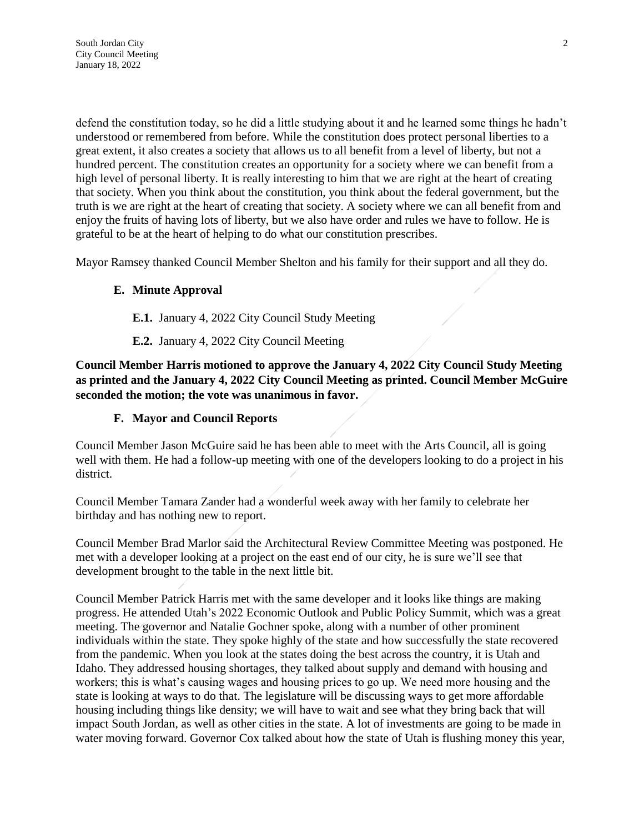defend the constitution today, so he did a little studying about it and he learned some things he hadn't understood or remembered from before. While the constitution does protect personal liberties to a great extent, it also creates a society that allows us to all benefit from a level of liberty, but not a hundred percent. The constitution creates an opportunity for a society where we can benefit from a high level of personal liberty. It is really interesting to him that we are right at the heart of creating that society. When you think about the constitution, you think about the federal government, but the truth is we are right at the heart of creating that society. A society where we can all benefit from and enjoy the fruits of having lots of liberty, but we also have order and rules we have to follow. He is grateful to be at the heart of helping to do what our constitution prescribes.

Mayor Ramsey thanked Council Member Shelton and his family for their support and all they do.

# **E. Minute Approval**

**E.1.** January 4, 2022 City Council Study Meeting

**E.2.** January 4, 2022 City Council Meeting

**Council Member Harris motioned to approve the January 4, 2022 City Council Study Meeting as printed and the January 4, 2022 City Council Meeting as printed. Council Member McGuire seconded the motion; the vote was unanimous in favor.**

### **F. Mayor and Council Reports**

Council Member Jason McGuire said he has been able to meet with the Arts Council, all is going well with them. He had a follow-up meeting with one of the developers looking to do a project in his district.

Council Member Tamara Zander had a wonderful week away with her family to celebrate her birthday and has nothing new to report.

Council Member Brad Marlor said the Architectural Review Committee Meeting was postponed. He met with a developer looking at a project on the east end of our city, he is sure we'll see that development brought to the table in the next little bit.

Council Member Patrick Harris met with the same developer and it looks like things are making progress. He attended Utah's 2022 Economic Outlook and Public Policy Summit, which was a great meeting. The governor and Natalie Gochner spoke, along with a number of other prominent individuals within the state. They spoke highly of the state and how successfully the state recovered from the pandemic. When you look at the states doing the best across the country, it is Utah and Idaho. They addressed housing shortages, they talked about supply and demand with housing and workers; this is what's causing wages and housing prices to go up. We need more housing and the state is looking at ways to do that. The legislature will be discussing ways to get more affordable housing including things like density; we will have to wait and see what they bring back that will impact South Jordan, as well as other cities in the state. A lot of investments are going to be made in water moving forward. Governor Cox talked about how the state of Utah is flushing money this year,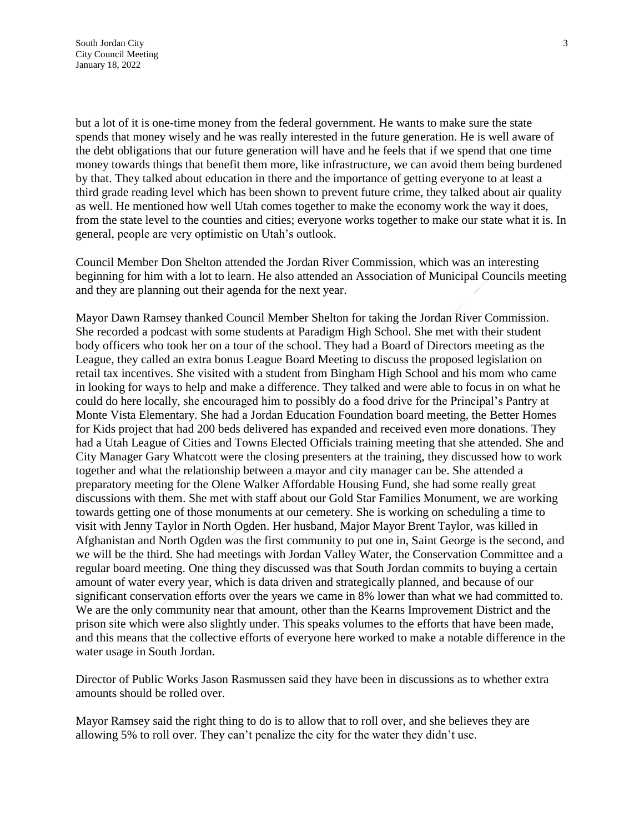but a lot of it is one-time money from the federal government. He wants to make sure the state spends that money wisely and he was really interested in the future generation. He is well aware of the debt obligations that our future generation will have and he feels that if we spend that one time money towards things that benefit them more, like infrastructure, we can avoid them being burdened by that. They talked about education in there and the importance of getting everyone to at least a third grade reading level which has been shown to prevent future crime, they talked about air quality as well. He mentioned how well Utah comes together to make the economy work the way it does, from the state level to the counties and cities; everyone works together to make our state what it is. In general, people are very optimistic on Utah's outlook.

Council Member Don Shelton attended the Jordan River Commission, which was an interesting beginning for him with a lot to learn. He also attended an Association of Municipal Councils meeting and they are planning out their agenda for the next year.

Mayor Dawn Ramsey thanked Council Member Shelton for taking the Jordan River Commission. She recorded a podcast with some students at Paradigm High School. She met with their student body officers who took her on a tour of the school. They had a Board of Directors meeting as the League, they called an extra bonus League Board Meeting to discuss the proposed legislation on retail tax incentives. She visited with a student from Bingham High School and his mom who came in looking for ways to help and make a difference. They talked and were able to focus in on what he could do here locally, she encouraged him to possibly do a food drive for the Principal's Pantry at Monte Vista Elementary. She had a Jordan Education Foundation board meeting, the Better Homes for Kids project that had 200 beds delivered has expanded and received even more donations. They had a Utah League of Cities and Towns Elected Officials training meeting that she attended. She and City Manager Gary Whatcott were the closing presenters at the training, they discussed how to work together and what the relationship between a mayor and city manager can be. She attended a preparatory meeting for the Olene Walker Affordable Housing Fund, she had some really great discussions with them. She met with staff about our Gold Star Families Monument, we are working towards getting one of those monuments at our cemetery. She is working on scheduling a time to visit with Jenny Taylor in North Ogden. Her husband, Major Mayor Brent Taylor, was killed in Afghanistan and North Ogden was the first community to put one in, Saint George is the second, and we will be the third. She had meetings with Jordan Valley Water, the Conservation Committee and a regular board meeting. One thing they discussed was that South Jordan commits to buying a certain amount of water every year, which is data driven and strategically planned, and because of our significant conservation efforts over the years we came in 8% lower than what we had committed to. We are the only community near that amount, other than the Kearns Improvement District and the prison site which were also slightly under. This speaks volumes to the efforts that have been made, and this means that the collective efforts of everyone here worked to make a notable difference in the water usage in South Jordan.

Director of Public Works Jason Rasmussen said they have been in discussions as to whether extra amounts should be rolled over.

Mayor Ramsey said the right thing to do is to allow that to roll over, and she believes they are allowing 5% to roll over. They can't penalize the city for the water they didn't use.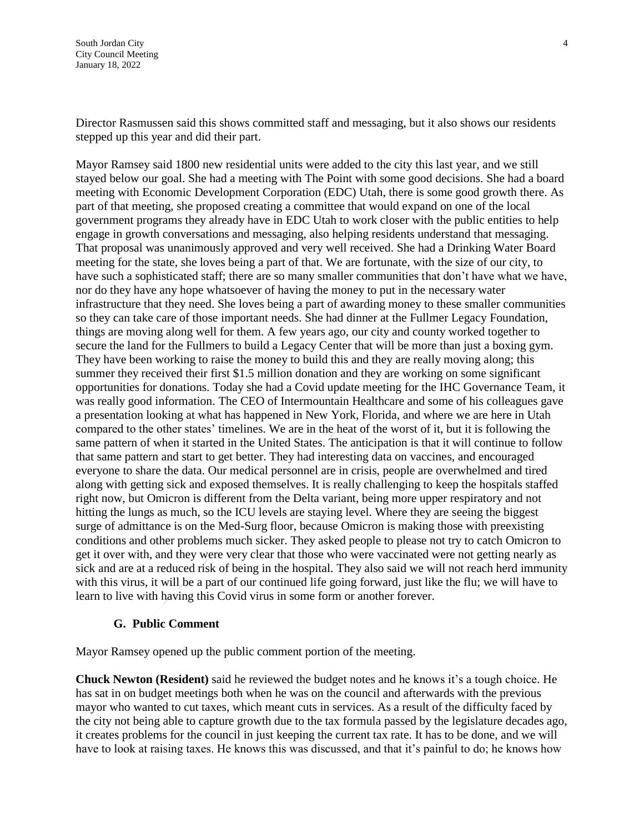Director Rasmussen said this shows committed staff and messaging, but it also shows our residents stepped up this year and did their part.

Mayor Ramsey said 1800 new residential units were added to the city this last year, and we still stayed below our goal. She had a meeting with The Point with some good decisions. She had a board meeting with Economic Development Corporation (EDC) Utah, there is some good growth there. As part of that meeting, she proposed creating a committee that would expand on one of the local government programs they already have in EDC Utah to work closer with the public entities to help engage in growth conversations and messaging, also helping residents understand that messaging. That proposal was unanimously approved and very well received. She had a Drinking Water Board meeting for the state, she loves being a part of that. We are fortunate, with the size of our city, to have such a sophisticated staff; there are so many smaller communities that don't have what we have, nor do they have any hope whatsoever of having the money to put in the necessary water infrastructure that they need. She loves being a part of awarding money to these smaller communities so they can take care of those important needs. She had dinner at the Fullmer Legacy Foundation, things are moving along well for them. A few years ago, our city and county worked together to secure the land for the Fullmers to build a Legacy Center that will be more than just a boxing gym. They have been working to raise the money to build this and they are really moving along; this summer they received their first \$1.5 million donation and they are working on some significant opportunities for donations. Today she had a Covid update meeting for the IHC Governance Team, it was really good information. The CEO of Intermountain Healthcare and some of his colleagues gave a presentation looking at what has happened in New York, Florida, and where we are here in Utah compared to the other states' timelines. We are in the heat of the worst of it, but it is following the same pattern of when it started in the United States. The anticipation is that it will continue to follow that same pattern and start to get better. They had interesting data on vaccines, and encouraged everyone to share the data. Our medical personnel are in crisis, people are overwhelmed and tired along with getting sick and exposed themselves. It is really challenging to keep the hospitals staffed right now, but Omicron is different from the Delta variant, being more upper respiratory and not hitting the lungs as much, so the ICU levels are staying level. Where they are seeing the biggest surge of admittance is on the Med-Surg floor, because Omicron is making those with preexisting conditions and other problems much sicker. They asked people to please not try to catch Omicron to get it over with, and they were very clear that those who were vaccinated were not getting nearly as sick and are at a reduced risk of being in the hospital. They also said we will not reach herd immunity with this virus, it will be a part of our continued life going forward, just like the flu; we will have to learn to live with having this Covid virus in some form or another forever.

#### **G. Public Comment**

Mayor Ramsey opened up the public comment portion of the meeting.

**Chuck Newton (Resident)** said he reviewed the budget notes and he knows it's a tough choice. He has sat in on budget meetings both when he was on the council and afterwards with the previous mayor who wanted to cut taxes, which meant cuts in services. As a result of the difficulty faced by the city not being able to capture growth due to the tax formula passed by the legislature decades ago, it creates problems for the council in just keeping the current tax rate. It has to be done, and we will have to look at raising taxes. He knows this was discussed, and that it's painful to do; he knows how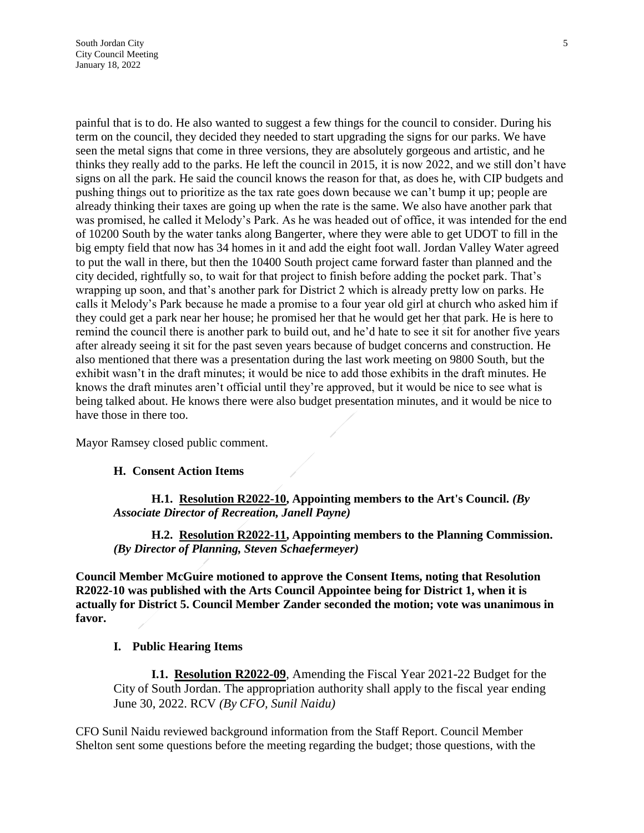painful that is to do. He also wanted to suggest a few things for the council to consider. During his term on the council, they decided they needed to start upgrading the signs for our parks. We have seen the metal signs that come in three versions, they are absolutely gorgeous and artistic, and he thinks they really add to the parks. He left the council in 2015, it is now 2022, and we still don't have signs on all the park. He said the council knows the reason for that, as does he, with CIP budgets and pushing things out to prioritize as the tax rate goes down because we can't bump it up; people are already thinking their taxes are going up when the rate is the same. We also have another park that was promised, he called it Melody's Park. As he was headed out of office, it was intended for the end of 10200 South by the water tanks along Bangerter, where they were able to get UDOT to fill in the big empty field that now has 34 homes in it and add the eight foot wall. Jordan Valley Water agreed to put the wall in there, but then the 10400 South project came forward faster than planned and the city decided, rightfully so, to wait for that project to finish before adding the pocket park. That's wrapping up soon, and that's another park for District 2 which is already pretty low on parks. He calls it Melody's Park because he made a promise to a four year old girl at church who asked him if they could get a park near her house; he promised her that he would get her that park. He is here to remind the council there is another park to build out, and he'd hate to see it sit for another five years after already seeing it sit for the past seven years because of budget concerns and construction. He also mentioned that there was a presentation during the last work meeting on 9800 South, but the exhibit wasn't in the draft minutes; it would be nice to add those exhibits in the draft minutes. He knows the draft minutes aren't official until they're approved, but it would be nice to see what is being talked about. He knows there were also budget presentation minutes, and it would be nice to have those in there too.

Mayor Ramsey closed public comment.

#### **H. Consent Action Items**

**H.1. Resolution R2022-10, Appointing members to the Art's Council.** *(By Associate Director of Recreation, Janell Payne)*

**H.2. Resolution R2022-11, Appointing members to the Planning Commission.**  *(By Director of Planning, Steven Schaefermeyer)*

**Council Member McGuire motioned to approve the Consent Items, noting that Resolution R2022-10 was published with the Arts Council Appointee being for District 1, when it is actually for District 5. Council Member Zander seconded the motion; vote was unanimous in favor.**

#### **I. Public Hearing Items**

**I.1. Resolution R2022-09**, Amending the Fiscal Year 2021-22 Budget for the City of South Jordan. The appropriation authority shall apply to the fiscal year ending June 30, 2022. RCV *(By CFO, Sunil Naidu)*

CFO Sunil Naidu reviewed background information from the Staff Report. Council Member Shelton sent some questions before the meeting regarding the budget; those questions, with the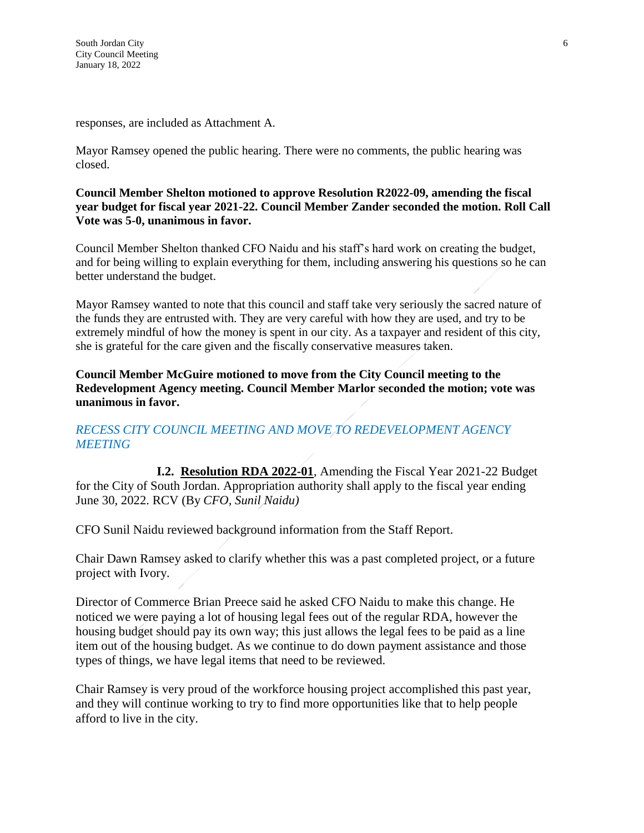responses, are included as Attachment A.

Mayor Ramsey opened the public hearing. There were no comments, the public hearing was closed.

### **Council Member Shelton motioned to approve Resolution R2022-09, amending the fiscal year budget for fiscal year 2021-22. Council Member Zander seconded the motion. Roll Call Vote was 5-0, unanimous in favor.**

Council Member Shelton thanked CFO Naidu and his staff's hard work on creating the budget, and for being willing to explain everything for them, including answering his questions so he can better understand the budget.

Mayor Ramsey wanted to note that this council and staff take very seriously the sacred nature of the funds they are entrusted with. They are very careful with how they are used, and try to be extremely mindful of how the money is spent in our city. As a taxpayer and resident of this city, she is grateful for the care given and the fiscally conservative measures taken.

**Council Member McGuire motioned to move from the City Council meeting to the Redevelopment Agency meeting. Council Member Marlor seconded the motion; vote was unanimous in favor.**

# *RECESS CITY COUNCIL MEETING AND MOVE TO REDEVELOPMENT AGENCY MEETING*

**I.2. Resolution RDA 2022-01**, Amending the Fiscal Year 2021-22 Budget for the City of South Jordan. Appropriation authority shall apply to the fiscal year ending June 30, 2022. RCV (By *CFO, Sunil Naidu)*

CFO Sunil Naidu reviewed background information from the Staff Report.

Chair Dawn Ramsey asked to clarify whether this was a past completed project, or a future project with Ivory.

Director of Commerce Brian Preece said he asked CFO Naidu to make this change. He noticed we were paying a lot of housing legal fees out of the regular RDA, however the housing budget should pay its own way; this just allows the legal fees to be paid as a line item out of the housing budget. As we continue to do down payment assistance and those types of things, we have legal items that need to be reviewed.

Chair Ramsey is very proud of the workforce housing project accomplished this past year, and they will continue working to try to find more opportunities like that to help people afford to live in the city.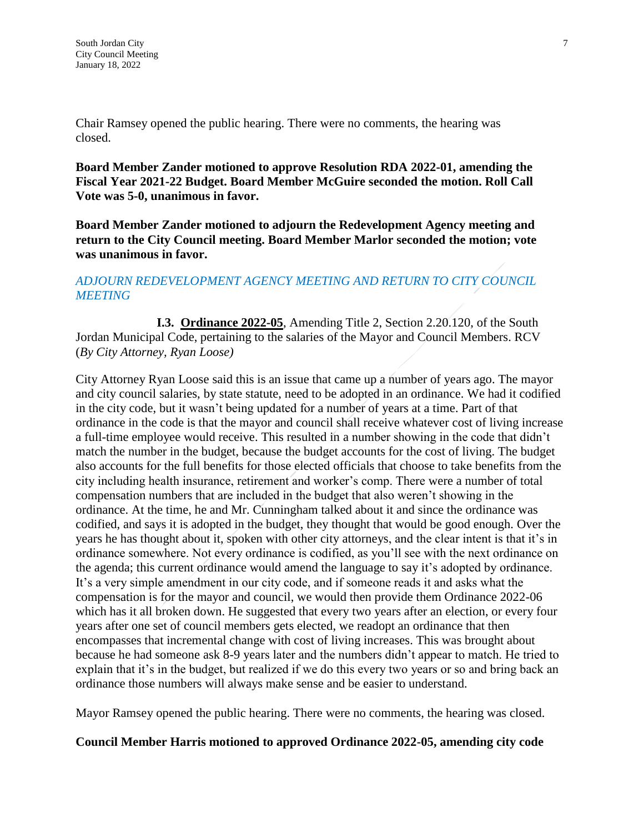Chair Ramsey opened the public hearing. There were no comments, the hearing was closed.

**Board Member Zander motioned to approve Resolution RDA 2022-01, amending the Fiscal Year 2021-22 Budget. Board Member McGuire seconded the motion. Roll Call Vote was 5-0, unanimous in favor.**

**Board Member Zander motioned to adjourn the Redevelopment Agency meeting and return to the City Council meeting. Board Member Marlor seconded the motion; vote was unanimous in favor.**

# *ADJOURN REDEVELOPMENT AGENCY MEETING AND RETURN TO CITY COUNCIL MEETING*

**I.3. Ordinance 2022-05**, Amending Title 2, Section 2.20.120, of the South Jordan Municipal Code, pertaining to the salaries of the Mayor and Council Members. RCV (*By City Attorney, Ryan Loose)*

City Attorney Ryan Loose said this is an issue that came up a number of years ago. The mayor and city council salaries, by state statute, need to be adopted in an ordinance. We had it codified in the city code, but it wasn't being updated for a number of years at a time. Part of that ordinance in the code is that the mayor and council shall receive whatever cost of living increase a full-time employee would receive. This resulted in a number showing in the code that didn't match the number in the budget, because the budget accounts for the cost of living. The budget also accounts for the full benefits for those elected officials that choose to take benefits from the city including health insurance, retirement and worker's comp. There were a number of total compensation numbers that are included in the budget that also weren't showing in the ordinance. At the time, he and Mr. Cunningham talked about it and since the ordinance was codified, and says it is adopted in the budget, they thought that would be good enough. Over the years he has thought about it, spoken with other city attorneys, and the clear intent is that it's in ordinance somewhere. Not every ordinance is codified, as you'll see with the next ordinance on the agenda; this current ordinance would amend the language to say it's adopted by ordinance. It's a very simple amendment in our city code, and if someone reads it and asks what the compensation is for the mayor and council, we would then provide them Ordinance 2022-06 which has it all broken down. He suggested that every two years after an election, or every four years after one set of council members gets elected, we readopt an ordinance that then encompasses that incremental change with cost of living increases. This was brought about because he had someone ask 8-9 years later and the numbers didn't appear to match. He tried to explain that it's in the budget, but realized if we do this every two years or so and bring back an ordinance those numbers will always make sense and be easier to understand.

Mayor Ramsey opened the public hearing. There were no comments, the hearing was closed.

# **Council Member Harris motioned to approved Ordinance 2022-05, amending city code**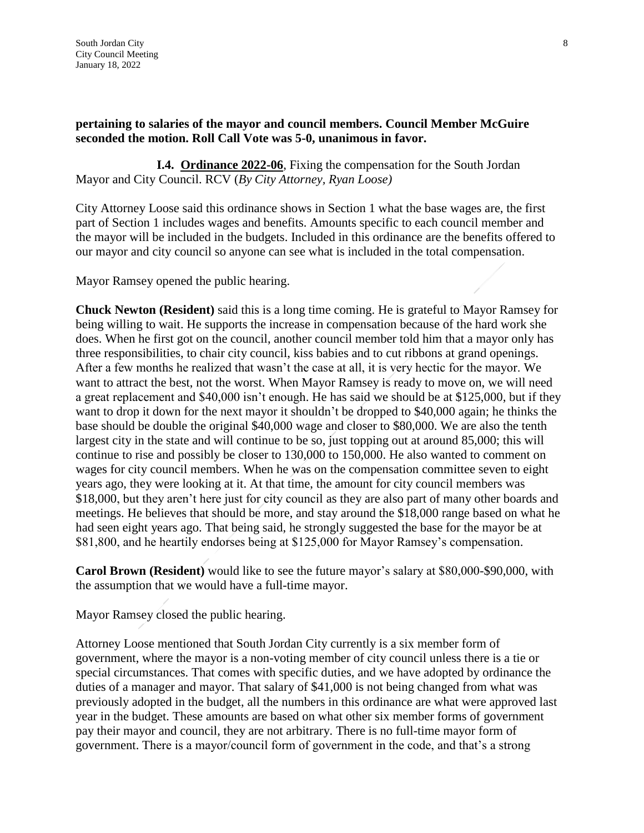**I.4. Ordinance 2022-06**, Fixing the compensation for the South Jordan Mayor and City Council. RCV (*By City Attorney, Ryan Loose)*

City Attorney Loose said this ordinance shows in Section 1 what the base wages are, the first part of Section 1 includes wages and benefits. Amounts specific to each council member and the mayor will be included in the budgets. Included in this ordinance are the benefits offered to our mayor and city council so anyone can see what is included in the total compensation.

Mayor Ramsey opened the public hearing.

**Chuck Newton (Resident)** said this is a long time coming. He is grateful to Mayor Ramsey for being willing to wait. He supports the increase in compensation because of the hard work she does. When he first got on the council, another council member told him that a mayor only has three responsibilities, to chair city council, kiss babies and to cut ribbons at grand openings. After a few months he realized that wasn't the case at all, it is very hectic for the mayor. We want to attract the best, not the worst. When Mayor Ramsey is ready to move on, we will need a great replacement and \$40,000 isn't enough. He has said we should be at \$125,000, but if they want to drop it down for the next mayor it shouldn't be dropped to \$40,000 again; he thinks the base should be double the original \$40,000 wage and closer to \$80,000. We are also the tenth largest city in the state and will continue to be so, just topping out at around 85,000; this will continue to rise and possibly be closer to 130,000 to 150,000. He also wanted to comment on wages for city council members. When he was on the compensation committee seven to eight years ago, they were looking at it. At that time, the amount for city council members was \$18,000, but they aren't here just for city council as they are also part of many other boards and meetings. He believes that should be more, and stay around the \$18,000 range based on what he had seen eight years ago. That being said, he strongly suggested the base for the mayor be at \$81,800, and he heartily endorses being at \$125,000 for Mayor Ramsey's compensation.

**Carol Brown (Resident)** would like to see the future mayor's salary at \$80,000-\$90,000, with the assumption that we would have a full-time mayor.

Mayor Ramsey closed the public hearing.

Attorney Loose mentioned that South Jordan City currently is a six member form of government, where the mayor is a non-voting member of city council unless there is a tie or special circumstances. That comes with specific duties, and we have adopted by ordinance the duties of a manager and mayor. That salary of \$41,000 is not being changed from what was previously adopted in the budget, all the numbers in this ordinance are what were approved last year in the budget. These amounts are based on what other six member forms of government pay their mayor and council, they are not arbitrary. There is no full-time mayor form of government. There is a mayor/council form of government in the code, and that's a strong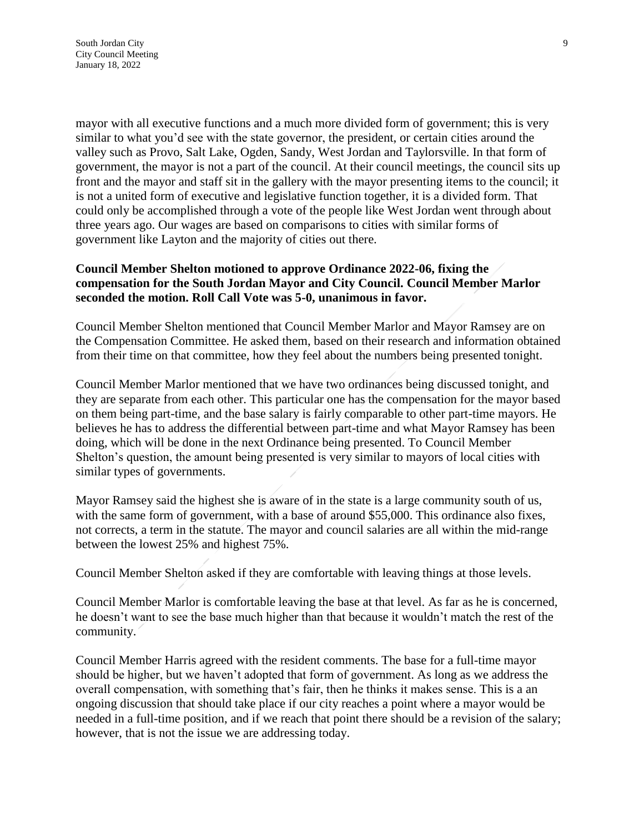mayor with all executive functions and a much more divided form of government; this is very similar to what you'd see with the state governor, the president, or certain cities around the valley such as Provo, Salt Lake, Ogden, Sandy, West Jordan and Taylorsville. In that form of government, the mayor is not a part of the council. At their council meetings, the council sits up front and the mayor and staff sit in the gallery with the mayor presenting items to the council; it is not a united form of executive and legislative function together, it is a divided form. That could only be accomplished through a vote of the people like West Jordan went through about three years ago. Our wages are based on comparisons to cities with similar forms of government like Layton and the majority of cities out there.

# **Council Member Shelton motioned to approve Ordinance 2022-06, fixing the compensation for the South Jordan Mayor and City Council. Council Member Marlor seconded the motion. Roll Call Vote was 5-0, unanimous in favor.**

Council Member Shelton mentioned that Council Member Marlor and Mayor Ramsey are on the Compensation Committee. He asked them, based on their research and information obtained from their time on that committee, how they feel about the numbers being presented tonight.

Council Member Marlor mentioned that we have two ordinances being discussed tonight, and they are separate from each other. This particular one has the compensation for the mayor based on them being part-time, and the base salary is fairly comparable to other part-time mayors. He believes he has to address the differential between part-time and what Mayor Ramsey has been doing, which will be done in the next Ordinance being presented. To Council Member Shelton's question, the amount being presented is very similar to mayors of local cities with similar types of governments.

Mayor Ramsey said the highest she is aware of in the state is a large community south of us, with the same form of government, with a base of around \$55,000. This ordinance also fixes, not corrects, a term in the statute. The mayor and council salaries are all within the mid-range between the lowest 25% and highest 75%.

Council Member Shelton asked if they are comfortable with leaving things at those levels.

Council Member Marlor is comfortable leaving the base at that level. As far as he is concerned, he doesn't want to see the base much higher than that because it wouldn't match the rest of the community.

Council Member Harris agreed with the resident comments. The base for a full-time mayor should be higher, but we haven't adopted that form of government. As long as we address the overall compensation, with something that's fair, then he thinks it makes sense. This is a an ongoing discussion that should take place if our city reaches a point where a mayor would be needed in a full-time position, and if we reach that point there should be a revision of the salary; however, that is not the issue we are addressing today.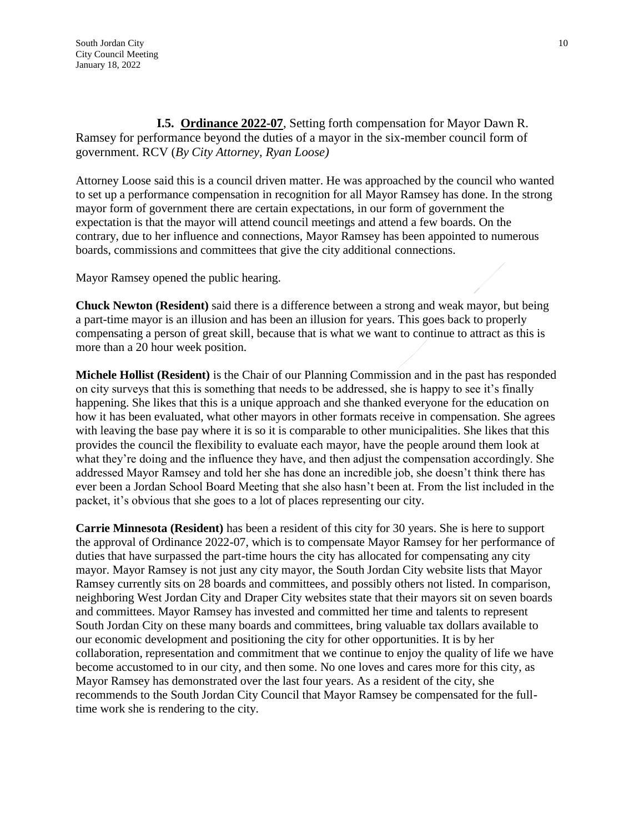**I.5. Ordinance 2022-07**, Setting forth compensation for Mayor Dawn R. Ramsey for performance beyond the duties of a mayor in the six-member council form of government. RCV (*By City Attorney, Ryan Loose)*

Attorney Loose said this is a council driven matter. He was approached by the council who wanted to set up a performance compensation in recognition for all Mayor Ramsey has done. In the strong mayor form of government there are certain expectations, in our form of government the expectation is that the mayor will attend council meetings and attend a few boards. On the contrary, due to her influence and connections, Mayor Ramsey has been appointed to numerous boards, commissions and committees that give the city additional connections.

Mayor Ramsey opened the public hearing.

**Chuck Newton (Resident)** said there is a difference between a strong and weak mayor, but being a part-time mayor is an illusion and has been an illusion for years. This goes back to properly compensating a person of great skill, because that is what we want to continue to attract as this is more than a 20 hour week position.

**Michele Hollist (Resident)** is the Chair of our Planning Commission and in the past has responded on city surveys that this is something that needs to be addressed, she is happy to see it's finally happening. She likes that this is a unique approach and she thanked everyone for the education on how it has been evaluated, what other mayors in other formats receive in compensation. She agrees with leaving the base pay where it is so it is comparable to other municipalities. She likes that this provides the council the flexibility to evaluate each mayor, have the people around them look at what they're doing and the influence they have, and then adjust the compensation accordingly. She addressed Mayor Ramsey and told her she has done an incredible job, she doesn't think there has ever been a Jordan School Board Meeting that she also hasn't been at. From the list included in the packet, it's obvious that she goes to a lot of places representing our city.

**Carrie Minnesota (Resident)** has been a resident of this city for 30 years. She is here to support the approval of Ordinance 2022-07, which is to compensate Mayor Ramsey for her performance of duties that have surpassed the part-time hours the city has allocated for compensating any city mayor. Mayor Ramsey is not just any city mayor, the South Jordan City website lists that Mayor Ramsey currently sits on 28 boards and committees, and possibly others not listed. In comparison, neighboring West Jordan City and Draper City websites state that their mayors sit on seven boards and committees. Mayor Ramsey has invested and committed her time and talents to represent South Jordan City on these many boards and committees, bring valuable tax dollars available to our economic development and positioning the city for other opportunities. It is by her collaboration, representation and commitment that we continue to enjoy the quality of life we have become accustomed to in our city, and then some. No one loves and cares more for this city, as Mayor Ramsey has demonstrated over the last four years. As a resident of the city, she recommends to the South Jordan City Council that Mayor Ramsey be compensated for the fulltime work she is rendering to the city.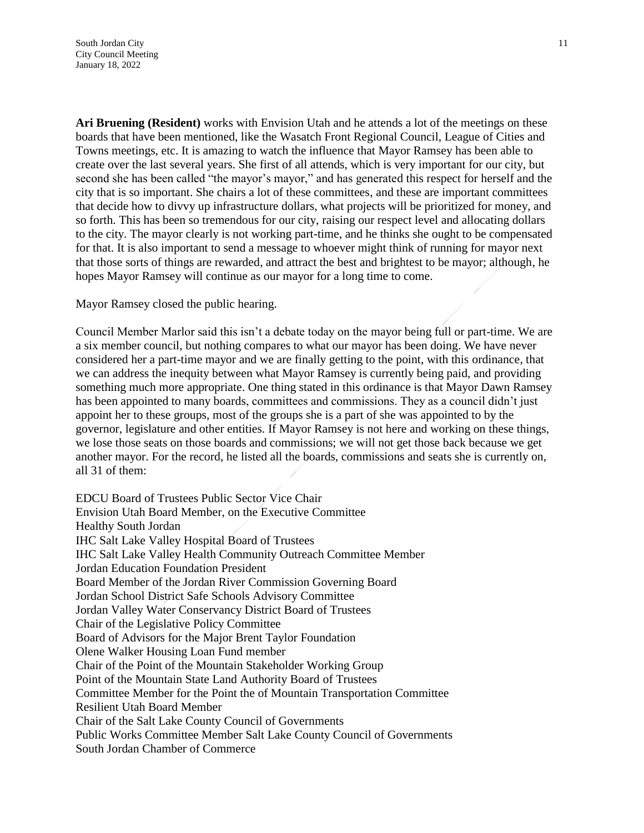**Ari Bruening (Resident)** works with Envision Utah and he attends a lot of the meetings on these boards that have been mentioned, like the Wasatch Front Regional Council, League of Cities and Towns meetings, etc. It is amazing to watch the influence that Mayor Ramsey has been able to create over the last several years. She first of all attends, which is very important for our city, but second she has been called "the mayor's mayor," and has generated this respect for herself and the city that is so important. She chairs a lot of these committees, and these are important committees that decide how to divvy up infrastructure dollars, what projects will be prioritized for money, and so forth. This has been so tremendous for our city, raising our respect level and allocating dollars to the city. The mayor clearly is not working part-time, and he thinks she ought to be compensated for that. It is also important to send a message to whoever might think of running for mayor next that those sorts of things are rewarded, and attract the best and brightest to be mayor; although, he hopes Mayor Ramsey will continue as our mayor for a long time to come.

Mayor Ramsey closed the public hearing.

Council Member Marlor said this isn't a debate today on the mayor being full or part-time. We are a six member council, but nothing compares to what our mayor has been doing. We have never considered her a part-time mayor and we are finally getting to the point, with this ordinance, that we can address the inequity between what Mayor Ramsey is currently being paid, and providing something much more appropriate. One thing stated in this ordinance is that Mayor Dawn Ramsey has been appointed to many boards, committees and commissions. They as a council didn't just appoint her to these groups, most of the groups she is a part of she was appointed to by the governor, legislature and other entities. If Mayor Ramsey is not here and working on these things, we lose those seats on those boards and commissions; we will not get those back because we get another mayor. For the record, he listed all the boards, commissions and seats she is currently on, all 31 of them:

EDCU Board of Trustees Public Sector Vice Chair Envision Utah Board Member, on the Executive Committee Healthy South Jordan IHC Salt Lake Valley Hospital Board of Trustees IHC Salt Lake Valley Health Community Outreach Committee Member Jordan Education Foundation President Board Member of the Jordan River Commission Governing Board Jordan School District Safe Schools Advisory Committee Jordan Valley Water Conservancy District Board of Trustees Chair of the Legislative Policy Committee Board of Advisors for the Major Brent Taylor Foundation Olene Walker Housing Loan Fund member Chair of the Point of the Mountain Stakeholder Working Group Point of the Mountain State Land Authority Board of Trustees Committee Member for the Point the of Mountain Transportation Committee Resilient Utah Board Member Chair of the Salt Lake County Council of Governments Public Works Committee Member Salt Lake County Council of Governments South Jordan Chamber of Commerce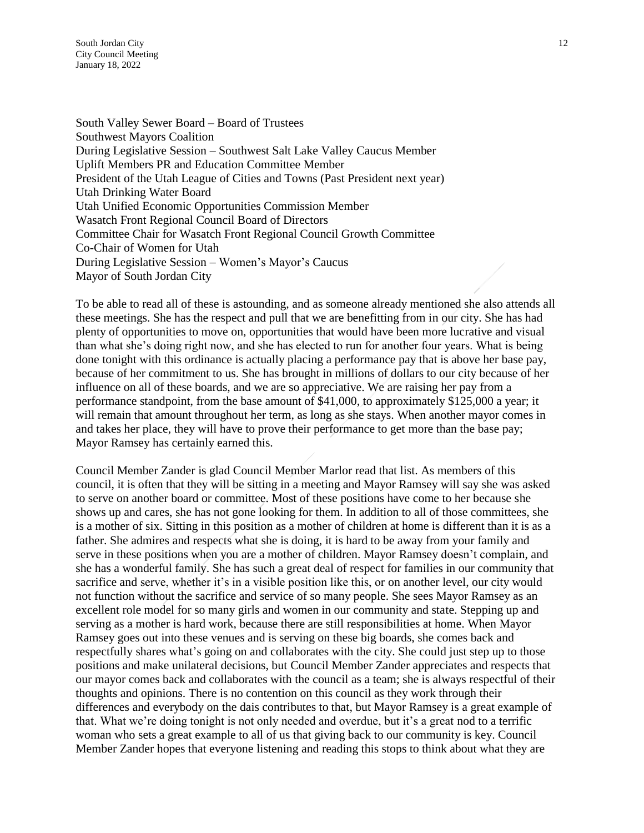South Jordan City 12 City Council Meeting January 18, 2022

South Valley Sewer Board – Board of Trustees Southwest Mayors Coalition During Legislative Session – Southwest Salt Lake Valley Caucus Member Uplift Members PR and Education Committee Member President of the Utah League of Cities and Towns (Past President next year) Utah Drinking Water Board Utah Unified Economic Opportunities Commission Member Wasatch Front Regional Council Board of Directors Committee Chair for Wasatch Front Regional Council Growth Committee Co-Chair of Women for Utah During Legislative Session – Women's Mayor's Caucus Mayor of South Jordan City

To be able to read all of these is astounding, and as someone already mentioned she also attends all these meetings. She has the respect and pull that we are benefitting from in our city. She has had plenty of opportunities to move on, opportunities that would have been more lucrative and visual than what she's doing right now, and she has elected to run for another four years. What is being done tonight with this ordinance is actually placing a performance pay that is above her base pay, because of her commitment to us. She has brought in millions of dollars to our city because of her influence on all of these boards, and we are so appreciative. We are raising her pay from a performance standpoint, from the base amount of \$41,000, to approximately \$125,000 a year; it will remain that amount throughout her term, as long as she stays. When another mayor comes in and takes her place, they will have to prove their performance to get more than the base pay; Mayor Ramsey has certainly earned this.

Council Member Zander is glad Council Member Marlor read that list. As members of this council, it is often that they will be sitting in a meeting and Mayor Ramsey will say she was asked to serve on another board or committee. Most of these positions have come to her because she shows up and cares, she has not gone looking for them. In addition to all of those committees, she is a mother of six. Sitting in this position as a mother of children at home is different than it is as a father. She admires and respects what she is doing, it is hard to be away from your family and serve in these positions when you are a mother of children. Mayor Ramsey doesn't complain, and she has a wonderful family. She has such a great deal of respect for families in our community that sacrifice and serve, whether it's in a visible position like this, or on another level, our city would not function without the sacrifice and service of so many people. She sees Mayor Ramsey as an excellent role model for so many girls and women in our community and state. Stepping up and serving as a mother is hard work, because there are still responsibilities at home. When Mayor Ramsey goes out into these venues and is serving on these big boards, she comes back and respectfully shares what's going on and collaborates with the city. She could just step up to those positions and make unilateral decisions, but Council Member Zander appreciates and respects that our mayor comes back and collaborates with the council as a team; she is always respectful of their thoughts and opinions. There is no contention on this council as they work through their differences and everybody on the dais contributes to that, but Mayor Ramsey is a great example of that. What we're doing tonight is not only needed and overdue, but it's a great nod to a terrific woman who sets a great example to all of us that giving back to our community is key. Council Member Zander hopes that everyone listening and reading this stops to think about what they are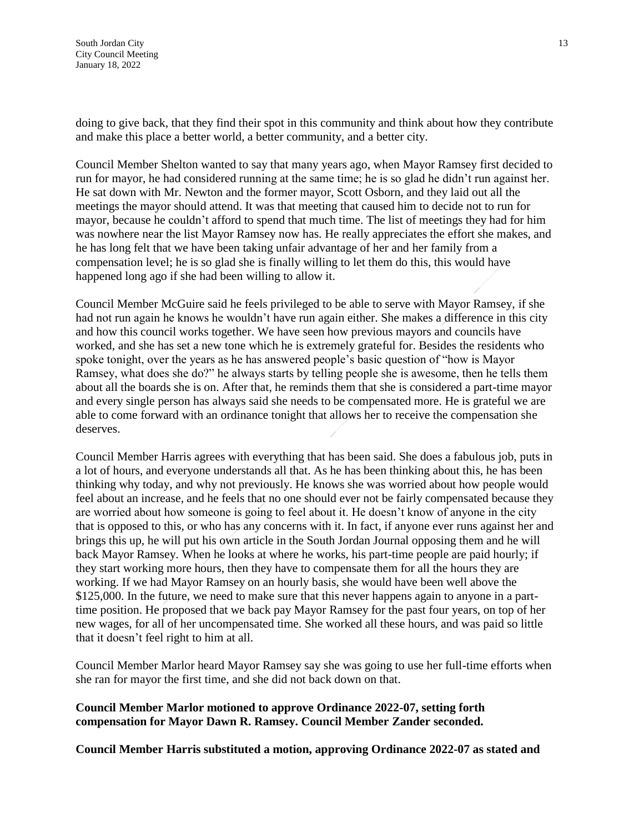doing to give back, that they find their spot in this community and think about how they contribute and make this place a better world, a better community, and a better city.

Council Member Shelton wanted to say that many years ago, when Mayor Ramsey first decided to run for mayor, he had considered running at the same time; he is so glad he didn't run against her. He sat down with Mr. Newton and the former mayor, Scott Osborn, and they laid out all the meetings the mayor should attend. It was that meeting that caused him to decide not to run for mayor, because he couldn't afford to spend that much time. The list of meetings they had for him was nowhere near the list Mayor Ramsey now has. He really appreciates the effort she makes, and he has long felt that we have been taking unfair advantage of her and her family from a compensation level; he is so glad she is finally willing to let them do this, this would have happened long ago if she had been willing to allow it.

Council Member McGuire said he feels privileged to be able to serve with Mayor Ramsey, if she had not run again he knows he wouldn't have run again either. She makes a difference in this city and how this council works together. We have seen how previous mayors and councils have worked, and she has set a new tone which he is extremely grateful for. Besides the residents who spoke tonight, over the years as he has answered people's basic question of "how is Mayor Ramsey, what does she do?" he always starts by telling people she is awesome, then he tells them about all the boards she is on. After that, he reminds them that she is considered a part-time mayor and every single person has always said she needs to be compensated more. He is grateful we are able to come forward with an ordinance tonight that allows her to receive the compensation she deserves.

Council Member Harris agrees with everything that has been said. She does a fabulous job, puts in a lot of hours, and everyone understands all that. As he has been thinking about this, he has been thinking why today, and why not previously. He knows she was worried about how people would feel about an increase, and he feels that no one should ever not be fairly compensated because they are worried about how someone is going to feel about it. He doesn't know of anyone in the city that is opposed to this, or who has any concerns with it. In fact, if anyone ever runs against her and brings this up, he will put his own article in the South Jordan Journal opposing them and he will back Mayor Ramsey. When he looks at where he works, his part-time people are paid hourly; if they start working more hours, then they have to compensate them for all the hours they are working. If we had Mayor Ramsey on an hourly basis, she would have been well above the \$125,000. In the future, we need to make sure that this never happens again to anyone in a parttime position. He proposed that we back pay Mayor Ramsey for the past four years, on top of her new wages, for all of her uncompensated time. She worked all these hours, and was paid so little that it doesn't feel right to him at all.

Council Member Marlor heard Mayor Ramsey say she was going to use her full-time efforts when she ran for mayor the first time, and she did not back down on that.

### **Council Member Marlor motioned to approve Ordinance 2022-07, setting forth compensation for Mayor Dawn R. Ramsey. Council Member Zander seconded.**

**Council Member Harris substituted a motion, approving Ordinance 2022-07 as stated and**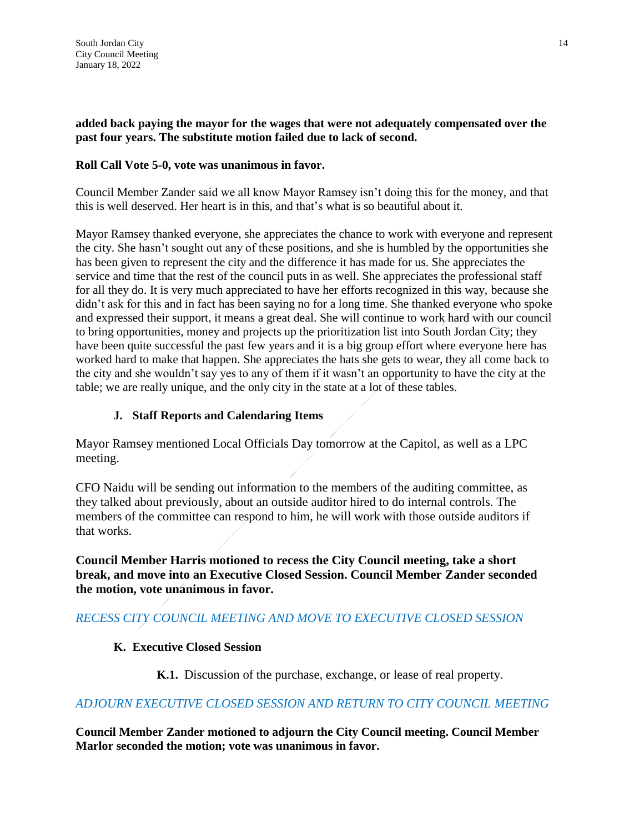# **added back paying the mayor for the wages that were not adequately compensated over the past four years. The substitute motion failed due to lack of second.**

# **Roll Call Vote 5-0, vote was unanimous in favor.**

Council Member Zander said we all know Mayor Ramsey isn't doing this for the money, and that this is well deserved. Her heart is in this, and that's what is so beautiful about it.

Mayor Ramsey thanked everyone, she appreciates the chance to work with everyone and represent the city. She hasn't sought out any of these positions, and she is humbled by the opportunities she has been given to represent the city and the difference it has made for us. She appreciates the service and time that the rest of the council puts in as well. She appreciates the professional staff for all they do. It is very much appreciated to have her efforts recognized in this way, because she didn't ask for this and in fact has been saying no for a long time. She thanked everyone who spoke and expressed their support, it means a great deal. She will continue to work hard with our council to bring opportunities, money and projects up the prioritization list into South Jordan City; they have been quite successful the past few years and it is a big group effort where everyone here has worked hard to make that happen. She appreciates the hats she gets to wear, they all come back to the city and she wouldn't say yes to any of them if it wasn't an opportunity to have the city at the table; we are really unique, and the only city in the state at a lot of these tables.

# **J. Staff Reports and Calendaring Items**

Mayor Ramsey mentioned Local Officials Day tomorrow at the Capitol, as well as a LPC meeting.

CFO Naidu will be sending out information to the members of the auditing committee, as they talked about previously, about an outside auditor hired to do internal controls. The members of the committee can respond to him, he will work with those outside auditors if that works.

**Council Member Harris motioned to recess the City Council meeting, take a short break, and move into an Executive Closed Session. Council Member Zander seconded the motion, vote unanimous in favor.**

# *RECESS CITY COUNCIL MEETING AND MOVE TO EXECUTIVE CLOSED SESSION*

# **K. Executive Closed Session**

**K.1.** Discussion of the purchase, exchange, or lease of real property.

# *ADJOURN EXECUTIVE CLOSED SESSION AND RETURN TO CITY COUNCIL MEETING*

**Council Member Zander motioned to adjourn the City Council meeting. Council Member Marlor seconded the motion; vote was unanimous in favor.**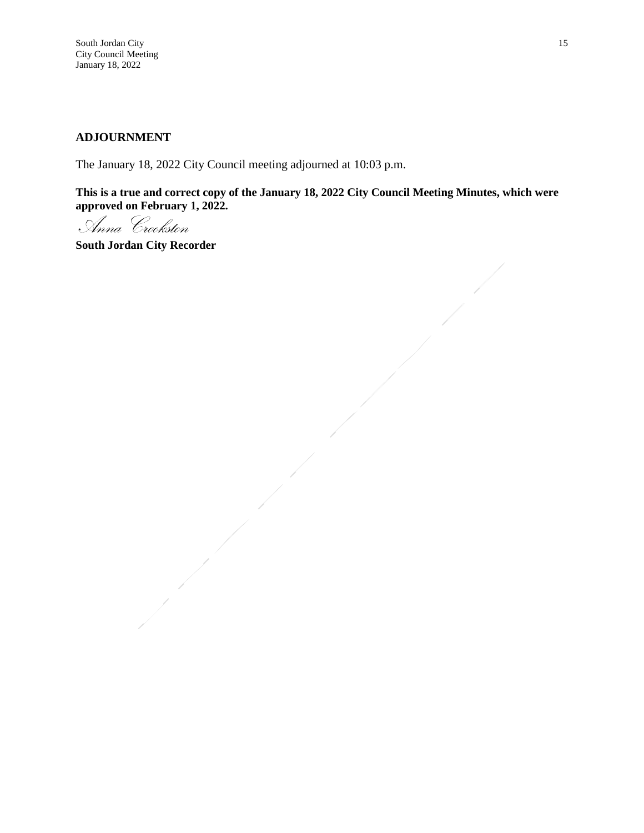### **ADJOURNMENT**

The January 18, 2022 City Council meeting adjourned at 10:03 p.m.

**This is a true and correct copy of the January 18, 2022 City Council Meeting Minutes, which were approved on February 1, 2022.**

Anna Crookston

**South Jordan City Recorder**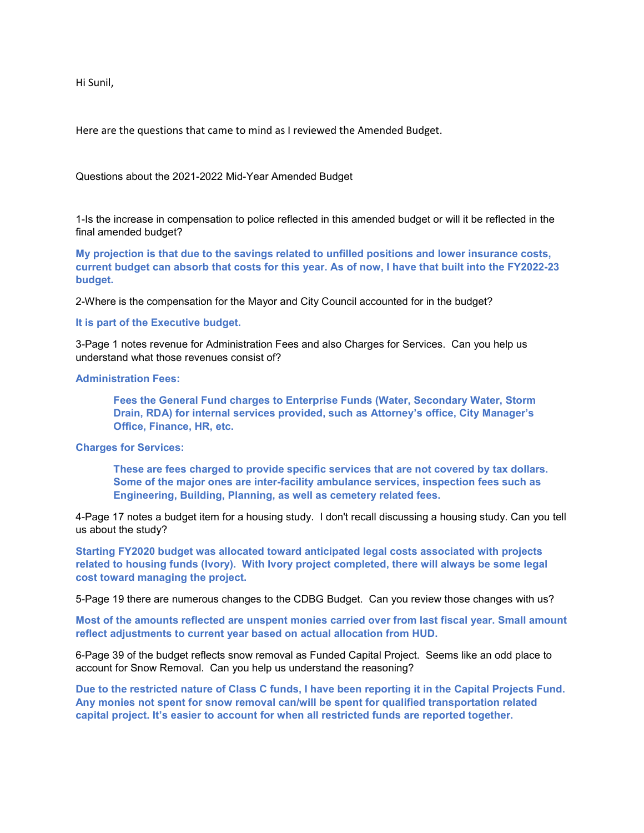Hi Sunil,

Here are the questions that came to mind as I reviewed the Amended Budget.

Questions about the 2021-2022 Mid-Year Amended Budget

1-Is the increase in compensation to police reflected in this amended budget or will it be reflected in the final amended budget?

**My projection is that due to the savings related to unfilled positions and lower insurance costs, current budget can absorb that costs for this year. As of now, I have that built into the FY2022-23 budget.**

2-Where is the compensation for the Mayor and City Council accounted for in the budget?

**It is part of the Executive budget.**

3-Page 1 notes revenue for Administration Fees and also Charges for Services. Can you help us understand what those revenues consist of?

#### **Administration Fees:**

**Fees the General Fund charges to Enterprise Funds (Water, Secondary Water, Storm Drain, RDA) for internal services provided, such as Attorney's office, City Manager's Office, Finance, HR, etc.**

**Charges for Services:**

**These are fees charged to provide specific services that are not covered by tax dollars. Some of the major ones are inter-facility ambulance services, inspection fees such as Engineering, Building, Planning, as well as cemetery related fees.**

4-Page 17 notes a budget item for a housing study. I don't recall discussing a housing study. Can you tell us about the study?

**Starting FY2020 budget was allocated toward anticipated legal costs associated with projects related to housing funds (Ivory). With Ivory project completed, there will always be some legal cost toward managing the project.**

5-Page 19 there are numerous changes to the CDBG Budget. Can you review those changes with us?

**Most of the amounts reflected are unspent monies carried over from last fiscal year. Small amount reflect adjustments to current year based on actual allocation from HUD.**

6-Page 39 of the budget reflects snow removal as Funded Capital Project. Seems like an odd place to account for Snow Removal. Can you help us understand the reasoning?

**Due to the restricted nature of Class C funds, I have been reporting it in the Capital Projects Fund. Any monies not spent for snow removal can/will be spent for qualified transportation related capital project. It's easier to account for when all restricted funds are reported together.**